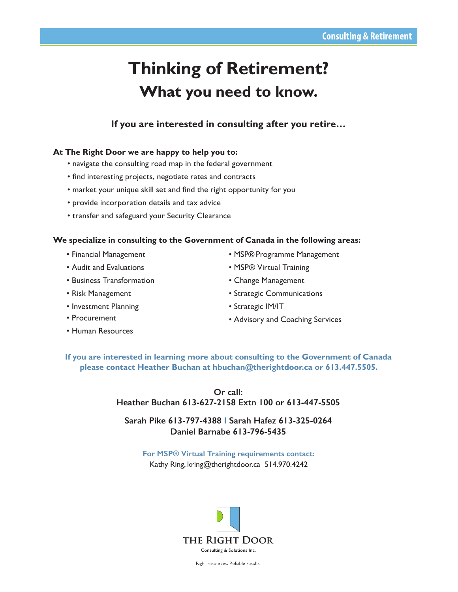## **Thinking of Retirement? What you need to know.**

**If you are interested in consulting after you retire…**

## **At The Right Door we are happy to help you to:**

- navigate the consulting road map in the federal government
- find interesting projects, negotiate rates and contracts
- market your unique skill set and find the right opportunity for you
- provide incorporation details and tax advice
- transfer and safeguard your Security Clearance

## **We specialize in consulting to the Government of Canada in the following areas:**

- Financial Management
- Audit and Evaluations
- Business Transformation
- Risk Management
- Investment Planning
- Procurement
- Human Resources
- MSP® Programme Management
- MSP® Virtual Training
- Change Management
- Strategic Communications
- Strategic IM/IT
- Advisory and Coaching Services

**If you are interested in learning more about consulting to the Government of Canada please contact Heather Buchan at hbuchan@therightdoor.ca or 613.447.5505.**

> **Or call: Heather Buchan 613-627-2158 Extn 100 or 613-447-5505**

**Sarah Pike 613-797-4388 I Sarah Hafez 613-325-0264 Daniel Barnabe 613-796-5435**

**For MSP® Virtual Training requirements contact:**  Kathy Ring, kring@therightdoor.ca 514.970.4242



Right resources. Reliable results.